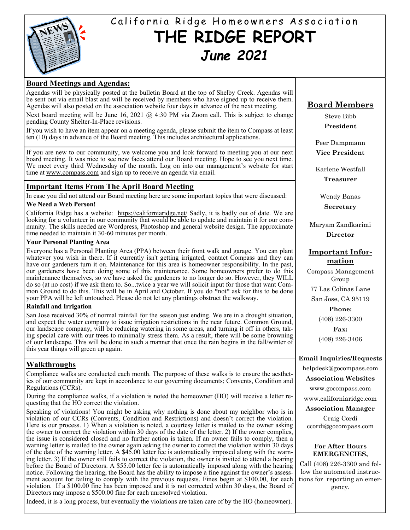

# California Ridge Homeowners Association **THE RIDGE REPORT**  *June 2021*

## **Board Meetings and Agendas:**

Agendas will be physically posted at the bulletin Board at the top of Shelby Creek. Agendas will be sent out via email blast and will be received by members who have signed up to receive them. Agendas will also posted on the association website four days in advance of the next meeting.

Next board meeting will be June 16, 2021  $\omega$  4:30 PM via Zoom call. This is subject to change pending County Shelter-In-Place revisions.

If you wish to have an item appear on a meeting agenda, please submit the item to Compass at least ten (10) days in advance of the Board meeting. This includes architectural applications.

If you are new to our community, we welcome you and look forward to meeting you at our next board meeting. It was nice to see new faces attend our Board meeting. Hope to see you next time. We meet every third Wednesday of the month. Log on into our management's website for start time at www.compass.com and sign up to receive an agenda via email.

#### **Important Items From The April Board Meeting**

In case you did not attend our Board meeting here are some important topics that were discussed:

#### **We Need a Web Person!**

California Ridge has a website: https://californiaridge.net/ Sadly, it is badly out of date. We are looking for a volunteer in our community that would be able to update and maintain it for our community. The skills needed are Wordpress, Photoshop and general website design. The approximate time needed to maintain it 30-60 minutes per month.

#### **Your Personal Planting Area**

Everyone has a Personal Planting Area (PPA) between their front walk and garage. You can plant whatever you wish in there. If it currently isn't getting irrigated, contact Compass and they can have our gardeners turn it on. Maintenance for this area is homeowner responsibility. In the past, our gardeners have been doing some of this maintenance. Some homeowners prefer to do this maintenance themselves, so we have asked the gardeners to no longer do so. However, they WILL do so (at no cost) if we ask them to. So...twice a year we will solicit input for those that want Common Ground to do this. This will be in April and October. If you do \*not\* ask for this to be done your PPA will be left untouched. Please do not let any plantings obstruct the walkway.

#### **Rainfall and Irrigation**

San Jose received 30% of normal rainfall for the season just ending. We are in a drought situation, and expect the water company to issue irrigation restrictions in the near future. Common Ground, our landscape company, will be reducing watering in some areas, and turning it off in others, taking special care with our trees to minimally stress them. As a result, there will be some browning of our landscape. This will be done in such a manner that once the rain begins in the fall/winter of this year things will green up again.

## **Walkthroughs**

Compliance walks are conducted each month. The purpose of these walks is to ensure the aesthetics of our community are kept in accordance to our governing documents; Convents, Condition and Regulations (CCRs).

During the compliance walks, if a violation is noted the homeowner (HO) will receive a letter requesting that the HO correct the violation.

Speaking of violations! You might be asking why nothing is done about my neighbor who is in violation of our CCRs (Convents, Condition and Restrictions) and doesn't correct the violation. Here is our process. 1) When a violation is noted, a courtesy letter is mailed to the owner asking the owner to correct the violation within 30 days of the date of the letter. 2) If the owner complies, the issue is considered closed and no further action is taken. If an owner fails to comply, then a warning letter is mailed to the owner again asking the owner to correct the violation within 30 days of the date of the warning letter. A \$45.00 letter fee is automatically imposed along with the warning letter. 3) If the owner still fails to correct the violation, the owner is invited to attend a hearing before the Board of Directors. A \$55.00 letter fee is automatically imposed along with the hearing notice. Following the hearing, the Board has the ability to impose a fine against the owner's assessment account for failing to comply with the previous requests. Fines begin at \$100.00, for each violation. If a \$100.00 fine has been imposed and it is not corrected within 30 days, the Board of Directors may impose a \$500.00 fine for each unresolved violation.

Indeed, it is a long process, but eventually the violations are taken care of by the HO (homeowner).

# **Board Members**

Steve Bibb **President** 

Peer Dampmann **Vice President** 

Karlene Westfall **Treasurer** 

> Wendy Banas **Secretary**

Maryam Zandkarimi **Director** 

### **Important Information**

Compass Management Group

77 Las Colinas Lane

San Jose, CA 95119

**Phone:** 

(408) 226-3300

**Fax:**  (408) 226-3406

#### **Email Inquiries/Requests**

helpdesk@gocompass.com

**Association Websites** 

www.gocompass.com

www.californiaridge.com

**Association Manager** 

Craig Cordi ccordi@gocompass.com

#### **For After Hours EMERGENCIES,**

Call (408) 226-3300 and follow the automated instructions for reporting an emergency.